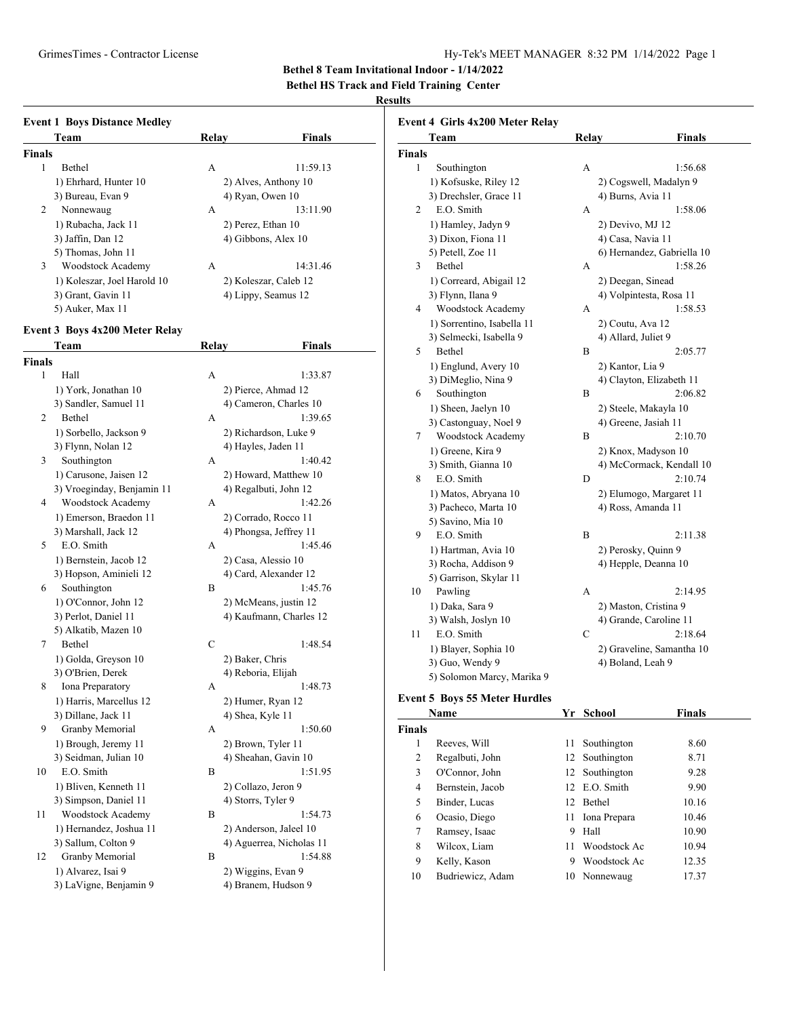**Bethel 8 Team Invitational Indoor - 1/14/2022**

**Bethel HS Track and Field Training Center**

#### **Results**

|               | <b>Event 1 Boys Distance Medley</b>   |       |                          |
|---------------|---------------------------------------|-------|--------------------------|
|               | Team                                  | Relay | <b>Finals</b>            |
| <b>Finals</b> |                                       |       |                          |
| 1             | Bethel                                | А     | 11:59.13                 |
|               | 1) Ehrhard, Hunter 10                 |       | 2) Alves, Anthony 10     |
|               | 3) Bureau, Evan 9                     |       | 4) Ryan, Owen 10         |
| 2             | Nonnewaug                             | А     | 13:11.90                 |
|               | 1) Rubacha, Jack 11                   |       | 2) Perez, Ethan 10       |
|               | 3) Jaffin, Dan 12                     |       | 4) Gibbons, Alex 10      |
|               | 5) Thomas, John 11                    |       |                          |
| 3             | Woodstock Academy                     | A     | 14:31.46                 |
|               | 1) Koleszar, Joel Harold 10           |       | 2) Koleszar, Caleb 12    |
|               | 3) Grant, Gavin 11                    |       | 4) Lippy, Seamus 12      |
|               | 5) Auker, Max 11                      |       |                          |
|               | <b>Event 3 Boys 4x200 Meter Relay</b> |       |                          |
|               | Team                                  | Relay | Finals                   |
| <b>Finals</b> |                                       |       |                          |
| 1             | Hall                                  | A     | 1:33.87                  |
|               | 1) York, Jonathan 10                  |       | 2) Pierce, Ahmad 12      |
|               | 3) Sandler, Samuel 11                 |       | 4) Cameron, Charles 10   |
| 2             | Bethel                                | A     | 1:39.65                  |
|               | 1) Sorbello, Jackson 9                |       | 2) Richardson, Luke 9    |
|               | 3) Flynn, Nolan 12                    |       | 4) Hayles, Jaden 11      |
| 3             | Southington                           | A     | 1:40.42                  |
|               | 1) Carusone, Jaisen 12                |       | 2) Howard, Matthew 10    |
|               | 3) Vroeginday, Benjamin 11            |       | 4) Regalbuti, John 12    |
| 4             | Woodstock Academy                     | A     | 1:42.26                  |
|               | 1) Emerson, Braedon 11                |       | 2) Corrado, Rocco 11     |
|               | 3) Marshall, Jack 12                  |       | 4) Phongsa, Jeffrey 11   |
| 5             | E.O. Smith                            | A     | 1:45.46                  |
|               | 1) Bernstein, Jacob 12                |       | 2) Casa, Alessio 10      |
|               | 3) Hopson, Aminieli 12                |       | 4) Card, Alexander 12    |
| 6             | Southington                           | B     | 1:45.76                  |
|               | 1) O'Connor, John 12                  |       | 2) McMeans, justin 12    |
|               | 3) Perlot, Daniel 11                  |       | 4) Kaufmann, Charles 12  |
|               | 5) Alkatib, Mazen 10                  |       |                          |
| 7             | Bethel                                | C     | 1:48.54                  |
|               | 1) Golda, Greyson 10                  |       | 2) Baker, Chris          |
|               | 3) O'Brien, Derek                     |       | 4) Reboria, Elijah       |
| 8.            | Iona Preparatory                      | А     | 1:48.73                  |
|               | 1) Harris, Marcellus 12               |       | 2) Humer, Ryan 12        |
|               | 3) Dillane, Jack 11                   |       | 4) Shea, Kyle 11         |
| 9             | Granby Memorial                       | А     | 1:50.60                  |
|               | 1) Brough, Jeremy 11                  |       | 2) Brown, Tyler 11       |
|               | 3) Seidman, Julian 10                 |       | 4) Sheahan, Gavin 10     |
| 10            | E.O. Smith                            | B     | 1:51.95                  |
|               | 1) Bliven, Kenneth 11                 |       | 2) Collazo, Jeron 9      |
|               | 3) Simpson, Daniel 11                 |       | 4) Storrs, Tyler 9       |
| 11            | Woodstock Academy                     | В     | 1:54.73                  |
|               | 1) Hernandez, Joshua 11               |       | 2) Anderson, Jaleel 10   |
|               | 3) Sallum, Colton 9                   |       | 4) Aguerrea, Nicholas 11 |
| 12            | Granby Memorial                       | В     | 1:54.88                  |
|               | 1) Alvarez, Isai 9                    |       | 2) Wiggins, Evan 9       |
|               | 3) LaVigne, Benjamin 9                |       | 4) Branem, Hudson 9      |
|               |                                       |       |                          |

|                | Team                                 |    | Relay  | Finals                     |
|----------------|--------------------------------------|----|--------|----------------------------|
| <b>Finals</b>  |                                      |    |        |                            |
| 1              | Southington                          |    | А      | 1:56.68                    |
|                | 1) Kofsuske, Riley 12                |    |        | 2) Cogswell, Madalyn 9     |
|                | 3) Drechsler, Grace 11               |    |        | 4) Burns, Avia 11          |
| $\overline{2}$ | E.O. Smith                           |    | А      | 1:58.06                    |
|                | 1) Hamley, Jadyn 9                   |    |        | 2) Devivo, MJ 12           |
|                | 3) Dixon, Fiona 11                   |    |        | 4) Casa, Navia 11          |
|                | 5) Petell, Zoe 11                    |    |        | 6) Hernandez, Gabriella 10 |
| 3              | Bethel                               |    | A      | 1:58.26                    |
|                | 1) Correard, Abigail 12              |    |        | 2) Deegan, Sinead          |
|                | 3) Flynn, Ilana 9                    |    |        | 4) Volpintesta, Rosa 11    |
| 4              | Woodstock Academy                    |    | A      | 1:58.53                    |
|                | 1) Sorrentino, Isabella 11           |    |        | 2) Coutu, Ava 12           |
|                | 3) Selmecki, Isabella 9              |    |        | 4) Allard, Juliet 9        |
| 5              | Bethel                               |    | B      | 2:05.77                    |
|                | 1) Englund, Avery 10                 |    |        | 2) Kantor, Lia 9           |
|                | 3) DiMeglio, Nina 9                  |    |        | 4) Clayton, Elizabeth 11   |
| 6              | Southington                          |    | B      | 2:06.82                    |
|                | 1) Sheen, Jaelyn 10                  |    |        | 2) Steele, Makayla 10      |
|                | 3) Castonguay, Noel 9                |    |        | 4) Greene, Jasiah 11       |
| 7              | Woodstock Academy                    |    | B      | 2:10.70                    |
|                | 1) Greene, Kira 9                    |    |        | 2) Knox, Madyson 10        |
|                | 3) Smith, Gianna 10                  |    |        | 4) McCormack, Kendall 10   |
| 8              | E.O. Smith                           |    | D      | 2:10.74                    |
|                | 1) Matos, Abryana 10                 |    |        | 2) Elumogo, Margaret 11    |
|                | 3) Pacheco, Marta 10                 |    |        | 4) Ross, Amanda 11         |
|                | 5) Savino, Mia 10                    |    |        |                            |
| 9              | E.O. Smith                           |    | В      | 2:11.38                    |
|                | 1) Hartman, Avia 10                  |    |        | 2) Perosky, Quinn 9        |
|                | 3) Rocha, Addison 9                  |    |        | 4) Hepple, Deanna 10       |
|                | 5) Garrison, Skylar 11               |    |        |                            |
| 10             | Pawling                              |    | A      | 2:14.95                    |
|                | 1) Daka, Sara 9                      |    |        | 2) Maston, Cristina 9      |
|                | 3) Walsh, Joslyn 10                  |    |        | 4) Grande, Caroline 11     |
| 11             | E.O. Smith                           |    | C      | 2:18.64                    |
|                | 1) Blayer, Sophia 10                 |    |        | 2) Graveline, Samantha 10  |
|                | 3) Guo, Wendy 9                      |    |        | 4) Boland, Leah 9          |
|                | 5) Solomon Marcy, Marika 9           |    |        |                            |
|                |                                      |    |        |                            |
|                | <b>Event 5 Boys 55 Meter Hurdles</b> |    |        |                            |
|                | Na <u>me</u>                         | Yr | School | Finals                     |

|               | Name             | Υr | School         | Finals |  |
|---------------|------------------|----|----------------|--------|--|
| <b>Finals</b> |                  |    |                |        |  |
| 1             | Reeves, Will     | 11 | Southington    | 8.60   |  |
| 2             | Regalbuti, John  |    | 12 Southington | 8.71   |  |
| 3             | O'Connor, John   |    | 12 Southington | 9.28   |  |
| 4             | Bernstein, Jacob |    | 12 E.O. Smith  | 9.90   |  |
| 5             | Binder, Lucas    | 12 | Bethel         | 10.16  |  |
| 6             | Ocasio, Diego    | 11 | Iona Prepara   | 10.46  |  |
| 7             | Ramsey, Isaac    | 9  | Hall           | 10.90  |  |
| 8             | Wilcox, Liam     | 11 | Woodstock Ac   | 10.94  |  |
| 9             | Kelly, Kason     | 9  | Woodstock Ac   | 12.35  |  |
| 10            | Budriewicz, Adam | 10 | Nonnewaug      | 17.37  |  |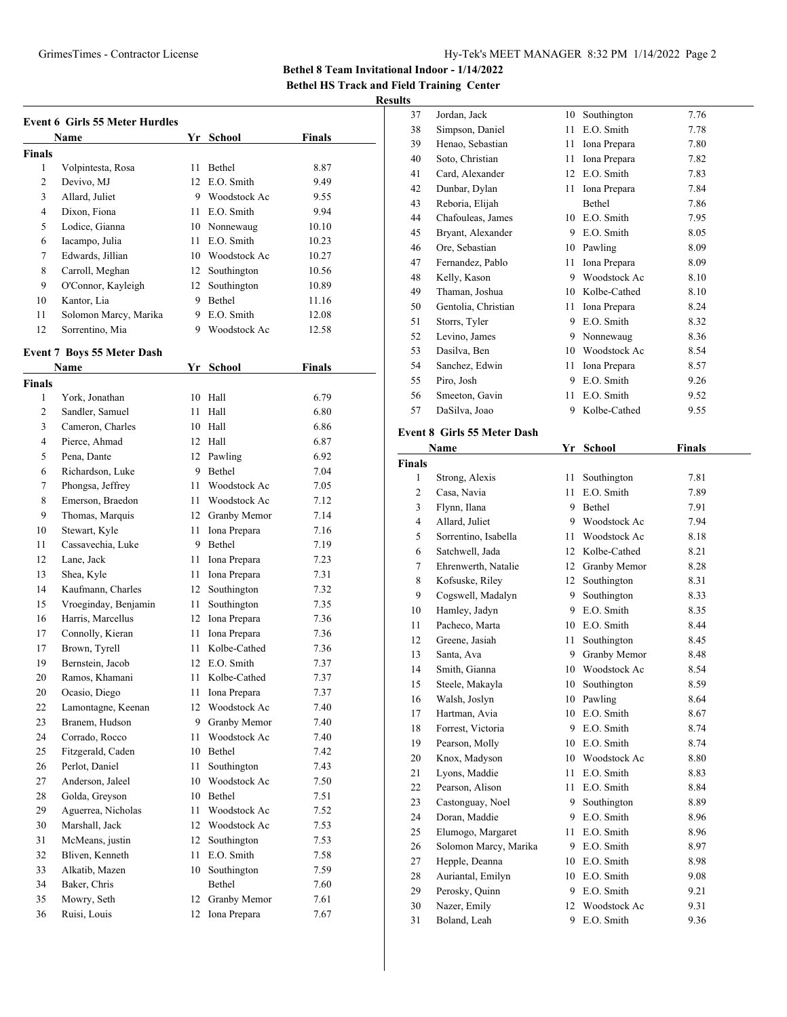#### GrimesTimes - Contractor License Hy-Tek's MEET MANAGER 8:32 PM 1/14/2022 Page 2

**Bethel 8 Team Invitational Indoor - 1/14/2022**

**Bethel HS Track and Field Training Center**

## **Results**

| <b>Event 6 Girls 55 Meter Hurdles</b> |                       |     |               |               |
|---------------------------------------|-----------------------|-----|---------------|---------------|
|                                       | Name                  | Yr. | <b>School</b> | <b>Finals</b> |
| <b>Finals</b>                         |                       |     |               |               |
| 1                                     | Volpintesta, Rosa     | 11  | Bethel        | 8.87          |
| 2                                     | Devivo, MJ            | 12  | E.O. Smith    | 9.49          |
| 3                                     | Allard, Juliet        | 9   | Woodstock Ac  | 9.55          |
| $\overline{4}$                        | Dixon, Fiona          | 11  | E.O. Smith    | 9.94          |
| 5                                     | Lodice, Gianna        | 10  | Nonnewaug     | 10.10         |
| 6                                     | Iacampo, Julia        | 11  | E.O. Smith    | 10.23         |
| 7                                     | Edwards, Jillian      | 10  | Woodstock Ac  | 10.27         |
| 8                                     | Carroll, Meghan       | 12  | Southington   | 10.56         |
| 9                                     | O'Connor, Kayleigh    | 12  | Southington   | 10.89         |
| 10                                    | Kantor, Lia           | 9   | Bethel        | 11.16         |
| 11                                    | Solomon Marcy, Marika | 9   | E.O. Smith    | 12.08         |
| 12                                    | Sorrentino, Mia       | 9   | Woodstock Ac  | 12.58         |

#### **Event 7 Boys 55 Meter Dash**

| Name   |                      | Yr | <b>School</b>   | <b>Finals</b> |
|--------|----------------------|----|-----------------|---------------|
| Finals |                      |    |                 |               |
| 1      | York, Jonathan       | 10 | Hall            | 6.79          |
| 2      | Sandler, Samuel      | 11 | Hall            | 6.80          |
| 3      | Cameron, Charles     | 10 | Hall            | 6.86          |
| 4      | Pierce, Ahmad        | 12 | Hall            | 6.87          |
| 5      | Pena, Dante          |    | 12 Pawling      | 6.92          |
| 6      | Richardson, Luke     | 9  | Bethel          | 7.04          |
| 7      | Phongsa, Jeffrey     | 11 | Woodstock Ac    | 7.05          |
| 8      | Emerson, Braedon     | 11 | Woodstock Ac    | 7.12          |
| 9      | Thomas, Marquis      | 12 | Granby Memor    | 7.14          |
| 10     | Stewart, Kyle        | 11 | Iona Prepara    | 7.16          |
| 11     | Cassavechia, Luke    | 9  | Bethel          | 7.19          |
| 12     | Lane, Jack           | 11 | Iona Prepara    | 7.23          |
| 13     | Shea, Kyle           | 11 | Iona Prepara    | 7.31          |
| 14     | Kaufmann, Charles    | 12 | Southington     | 7.32          |
| 15     | Vroeginday, Benjamin | 11 | Southington     | 7.35          |
| 16     | Harris, Marcellus    | 12 | Iona Prepara    | 7.36          |
| 17     | Connolly, Kieran     | 11 | Iona Prepara    | 7.36          |
| 17     | Brown, Tyrell        | 11 | Kolbe-Cathed    | 7.36          |
| 19     | Bernstein, Jacob     | 12 | E.O. Smith      | 7.37          |
| 20     | Ramos, Khamani       | 11 | Kolbe-Cathed    | 7.37          |
| 20     | Ocasio, Diego        | 11 | Iona Prepara    | 7.37          |
| 22     | Lamontagne, Keenan   | 12 | Woodstock Ac    | 7.40          |
| 23     | Branem, Hudson       | 9  | Granby Memor    | 7.40          |
| 24     | Corrado, Rocco       | 11 | Woodstock Ac    | 7.40          |
| 25     | Fitzgerald, Caden    | 10 | Bethel          | 7.42          |
| 26     | Perlot, Daniel       | 11 | Southington     | 7.43          |
| 27     | Anderson, Jaleel     |    | 10 Woodstock Ac | 7.50          |
| 28     | Golda, Greyson       | 10 | Bethel          | 7.51          |
| 29     | Aguerrea, Nicholas   | 11 | Woodstock Ac    | 7.52          |
| 30     | Marshall, Jack       | 12 | Woodstock Ac    | 7.53          |
| 31     | McMeans, justin      | 12 | Southington     | 7.53          |
| 32     | Bliven, Kenneth      | 11 | E.O. Smith      | 7.58          |
| 33     | Alkatib, Mazen       | 10 | Southington     | 7.59          |
| 34     | Baker, Chris         |    | Bethel          | 7.60          |
| 35     | Mowry, Seth          | 12 | Granby Memor    | 7.61          |
| 36     | Ruisi, Louis         | 12 | Iona Prepara    | 7.67          |
|        |                      |    |                 |               |

| 37 | Jordan, Jack        | 10 | Southington  | 7.76 |
|----|---------------------|----|--------------|------|
| 38 | Simpson, Daniel     | 11 | E.O. Smith   | 7.78 |
| 39 | Henao, Sebastian    | 11 | Iona Prepara | 7.80 |
| 40 | Soto, Christian     | 11 | Iona Prepara | 7.82 |
| 41 | Card, Alexander     | 12 | E.O. Smith   | 7.83 |
| 42 | Dunbar, Dylan       | 11 | Iona Prepara | 7.84 |
| 43 | Reboria, Elijah     |    | Bethel       | 7.86 |
| 44 | Chafouleas, James   | 10 | E.O. Smith   | 7.95 |
| 45 | Bryant, Alexander   | 9  | E.O. Smith   | 8.05 |
| 46 | Ore, Sebastian      | 10 | Pawling      | 8.09 |
| 47 | Fernandez, Pablo    | 11 | Iona Prepara | 8.09 |
| 48 | Kelly, Kason        | 9  | Woodstock Ac | 8.10 |
| 49 | Thaman, Joshua      | 10 | Kolbe-Cathed | 8.10 |
| 50 | Gentolia, Christian | 11 | Iona Prepara | 8.24 |
| 51 | Storrs, Tyler       | 9  | E.O. Smith   | 8.32 |
| 52 | Levino, James       | 9  | Nonnewaug    | 8.36 |
| 53 | Dasilva, Ben        | 10 | Woodstock Ac | 8.54 |
| 54 | Sanchez, Edwin      | 11 | Iona Prepara | 8.57 |
| 55 | Piro, Josh          | 9  | E.O. Smith   | 9.26 |
| 56 | Smeeton, Gavin      | 11 | E.O. Smith   | 9.52 |
| 57 | DaSilva, Joao       | 9  | Kolbe-Cathed | 9.55 |
|    |                     |    |              |      |

# **Event 8 Girls 55 Meter Dash**

|                | Name                  | Yr | School       | <b>Finals</b> |  |
|----------------|-----------------------|----|--------------|---------------|--|
| <b>Finals</b>  |                       |    |              |               |  |
| 1              | Strong, Alexis        | 11 | Southington  | 7.81          |  |
| $\overline{c}$ | Casa, Navia           | 11 | E.O. Smith   | 7.89          |  |
| 3              | Flynn, Ilana          | 9  | Bethel       | 7.91          |  |
| $\overline{4}$ | Allard, Juliet        | 9  | Woodstock Ac | 7.94          |  |
| 5              | Sorrentino, Isabella  | 11 | Woodstock Ac | 8.18          |  |
| 6              | Satchwell, Jada       | 12 | Kolbe-Cathed | 8.21          |  |
| $\overline{7}$ | Ehrenwerth, Natalie   | 12 | Granby Memor | 8.28          |  |
| 8              | Kofsuske, Rilev       | 12 | Southington  | 8.31          |  |
| 9              | Cogswell, Madalyn     | 9  | Southington  | 8.33          |  |
| 10             | Hamley, Jadyn         | 9  | E.O. Smith   | 8.35          |  |
| 11             | Pacheco, Marta        | 10 | E.O. Smith   | 8.44          |  |
| 12             | Greene, Jasiah        | 11 | Southington  | 8.45          |  |
| 13             | Santa, Ava            | 9  | Granby Memor | 8.48          |  |
| 14             | Smith, Gianna         | 10 | Woodstock Ac | 8.54          |  |
| 15             | Steele, Makayla       | 10 | Southington  | 8.59          |  |
| 16             | Walsh, Joslyn         | 10 | Pawling      | 8.64          |  |
| 17             | Hartman, Avia         | 10 | E.O. Smith   | 8.67          |  |
| 18             | Forrest, Victoria     | 9  | E.O. Smith   | 8.74          |  |
| 19             | Pearson, Molly        | 10 | E.O. Smith   | 8.74          |  |
| 20             | Knox, Madyson         | 10 | Woodstock Ac | 8.80          |  |
| 21             | Lyons, Maddie         | 11 | E.O. Smith   | 8.83          |  |
| 22             | Pearson, Alison       | 11 | E.O. Smith   | 8.84          |  |
| 23             | Castonguay, Noel      | 9  | Southington  | 8.89          |  |
| 24             | Doran, Maddie         | 9  | E.O. Smith   | 8.96          |  |
| 25             | Elumogo, Margaret     | 11 | E.O. Smith   | 8.96          |  |
| 26             | Solomon Marcy, Marika | 9  | E.O. Smith   | 8.97          |  |
| 27             | Hepple, Deanna        | 10 | E.O. Smith   | 8.98          |  |
| 28             | Auriantal, Emilyn     | 10 | E.O. Smith   | 9.08          |  |
| 29             | Perosky, Quinn        | 9  | E.O. Smith   | 9.21          |  |
| 30             | Nazer, Emily          | 12 | Woodstock Ac | 9.31          |  |
| 31             | Boland, Leah          | 9  | E.O. Smith   | 9.36          |  |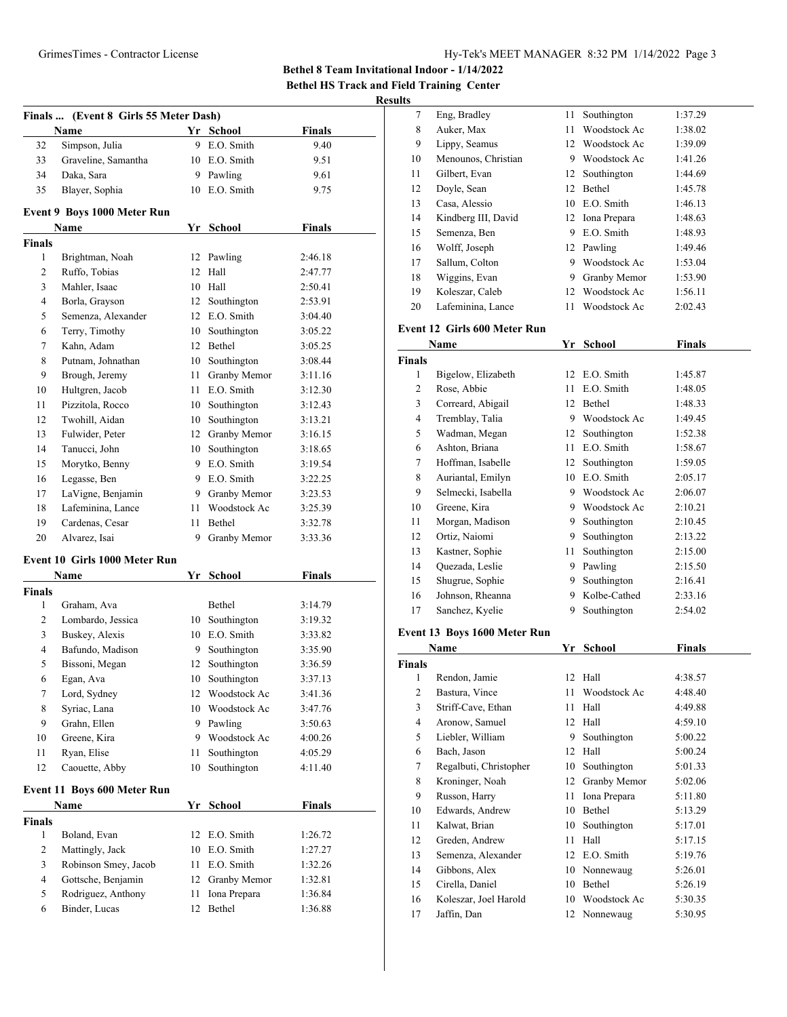| Hy-Tek's MEET MANAGER 8:32 PM 1/14/2022 Page 3 |  |  |  |
|------------------------------------------------|--|--|--|
|------------------------------------------------|--|--|--|

**Bethel 8 Team Invitational Indoor - 1/14/2022 Bethel HS Track and Field Training Center**

# **Results**

|               | Finals  (Event 8 Girls 55 Meter Dash) |    | Yr School                  |               |
|---------------|---------------------------------------|----|----------------------------|---------------|
|               | Name                                  |    |                            | <b>Finals</b> |
| 32            | Simpson, Julia                        | 9  | E.O. Smith                 | 9.40          |
| 33            | Graveline, Samantha                   |    | 10 E.O. Smith              | 9.51          |
| 34            | Daka, Sara                            |    | 9 Pawling<br>10 E.O. Smith | 9.61          |
| 35            | Blayer, Sophia                        |    |                            | 9.75          |
|               | Event 9 Boys 1000 Meter Run           |    |                            |               |
| <b>Finals</b> | Name                                  |    | Yr School                  | <b>Finals</b> |
| 1             | Brightman, Noah                       | 12 | Pawling                    | 2:46.18       |
| 2             | Ruffo, Tobias                         | 12 | Hall                       | 2:47.77       |
| 3             | Mahler, Isaac                         | 10 | Hall                       | 2:50.41       |
| 4             | Borla, Grayson                        | 12 | Southington                | 2:53.91       |
| 5             | Semenza, Alexander                    |    | 12 E.O. Smith              | 3:04.40       |
| 6             | Terry, Timothy                        |    | 10 Southington             | 3:05.22       |
| 7             | Kahn, Adam                            |    | 12 Bethel                  | 3:05.25       |
| 8             | Putnam, Johnathan                     |    | 10 Southington             | 3:08.44       |
| 9             | Brough, Jeremy                        | 11 | Granby Memor               | 3:11.16       |
| 10            | Hultgren, Jacob                       |    | 11 E.O. Smith              | 3:12.30       |
| 11            | Pizzitola, Rocco                      |    | 10 Southington             | 3:12.43       |
| 12            | Twohill, Aidan                        |    | 10 Southington             | 3:13.21       |
| 13            | Fulwider, Peter                       |    | 12 Granby Memor            | 3:16.15       |
| 14            | Tanucci, John                         | 10 | Southington                | 3:18.65       |
| 15            | Morytko, Benny                        |    | 9 E.O. Smith               | 3:19.54       |
| 16            | Legasse, Ben                          |    | 9 E.O. Smith               | 3:22.25       |
| 17            | LaVigne, Benjamin                     |    | 9 Granby Memor             | 3:23.53       |
| 18            | Lafeminina, Lance                     | 11 | Woodstock Ac               | 3:25.39       |
| 19            | Cardenas, Cesar                       | 11 | Bethel                     | 3:32.78       |
| 20            | Alvarez, Isai                         | 9  | Granby Memor               | 3:33.36       |
|               |                                       |    |                            |               |
|               | Event 10 Girls 1000 Meter Run<br>Name | Yr | School                     | <b>Finals</b> |
| <b>Finals</b> |                                       |    |                            |               |
| 1             | Graham, Ava                           |    | Bethel                     | 3:14.79       |
| 2             | Lombardo, Jessica                     |    | 10 Southington             | 3:19.32       |
| 3             | Buskey, Alexis                        |    | 10 E.O. Smith              | 3:33.82       |
| 4             | Bafundo, Madison                      | 9. | Southington                | 3:35.90       |
| 5             | Bissoni, Megan                        | 12 | Southington                | 3:36.59       |
| 6             | Egan, Ava                             | 10 | Southington                | 3:37.13       |
| 7             | Lord, Sydney                          | 12 | Woodstock Ac               | 3:41.36       |
| 8             | Syriac, Lana                          | 10 | Woodstock Ac               | 3:47.76       |
| 9             | Grahn, Ellen                          | 9  | Pawling                    | 3:50.63       |
| 10            | Greene, Kira                          | 9  | Woodstock Ac               | 4:00.26       |
| 11            | Ryan, Elise                           | 11 | Southington                | 4:05.29       |
| 12            | Caouette, Abby                        | 10 | Southington                | 4:11.40       |
|               |                                       |    |                            |               |
|               | Event 11 Boys 600 Meter Run<br>Name   |    |                            |               |
| <b>Finals</b> |                                       |    | Yr School                  | Finals        |
| 1             | Boland, Evan                          | 12 | E.O. Smith                 | 1:26.72       |
| 2             | Mattingly, Jack                       | 10 | E.O. Smith                 | 1:27.27       |
| 3             | Robinson Smey, Jacob                  | 11 | E.O. Smith                 | 1:32.26       |
| 4             | Gottsche, Benjamin                    | 12 | Granby Memor               | 1:32.81       |
| 5             | Rodriguez, Anthony                    | 11 | Iona Prepara               | 1:36.84       |
| 6             | Binder, Lucas                         | 12 | Bethel                     | 1:36.88       |
|               |                                       |    |                            |               |

| lts    |                              |    |               |         |
|--------|------------------------------|----|---------------|---------|
| 7      | Eng, Bradley                 | 11 | Southington   | 1:37.29 |
| 8      | Auker, Max                   | 11 | Woodstock Ac  | 1:38.02 |
| 9      | Lippy, Seamus                | 12 | Woodstock Ac  | 1:39.09 |
| 10     | Menounos, Christian          | 9  | Woodstock Ac  | 1:41.26 |
| 11     | Gilbert, Evan                | 12 | Southington   | 1:44.69 |
| 12     | Doyle, Sean                  | 12 | Bethel        | 1:45.78 |
| 13     | Casa, Alessio                | 10 | E.O. Smith    | 1:46.13 |
| 14     | Kindberg III, David          | 12 | Iona Prepara  | 1:48.63 |
| 15     | Semenza, Ben                 | 9  | E.O. Smith    | 1:48.93 |
| 16     | Wolff, Joseph                | 12 | Pawling       | 1:49.46 |
| 17     | Sallum, Colton               | 9  | Woodstock Ac  | 1:53.04 |
| 18     | Wiggins, Evan                | 9  | Granby Memor  | 1:53.90 |
| 19     | Koleszar, Caleb              | 12 | Woodstock Ac  | 1:56.11 |
| 20     | Lafeminina, Lance            | 11 | Woodstock Ac  | 2:02.43 |
|        | Event 12 Girls 600 Meter Run |    |               |         |
|        | Name                         | Yr | <b>School</b> | Finals  |
| Finals |                              |    |               |         |
| 1      | Bigelow, Elizabeth           | 12 | E.O. Smith    | 1:45.87 |
| 2      | Rose, Abbie                  | 11 | E.O. Smith    | 1:48.05 |
|        |                              |    |               |         |

|                | Name               | Υr | School       | Finals  |  |
|----------------|--------------------|----|--------------|---------|--|
| <b>Finals</b>  |                    |    |              |         |  |
| 1              | Bigelow, Elizabeth | 12 | E.O. Smith   | 1:45.87 |  |
| $\overline{2}$ | Rose, Abbie        | 11 | E.O. Smith   | 1:48.05 |  |
| 3              | Correard, Abigail  | 12 | Bethel       | 1:48.33 |  |
| 4              | Tremblay, Talia    | 9  | Woodstock Ac | 1:49.45 |  |
| 5              | Wadman, Megan      | 12 | Southington  | 1:52.38 |  |
| 6              | Ashton, Briana     | 11 | E.O. Smith   | 1:58.67 |  |
| 7              | Hoffman, Isabelle  | 12 | Southington  | 1:59.05 |  |
| 8              | Auriantal, Emilyn  | 10 | E.O. Smith   | 2:05.17 |  |
| 9              | Selmecki, Isabella | 9  | Woodstock Ac | 2:06.07 |  |
| 10             | Greene, Kira       | 9  | Woodstock Ac | 2:10.21 |  |
| 11             | Morgan, Madison    | 9  | Southington  | 2:10.45 |  |
| 12             | Ortiz, Naiomi      | 9  | Southington  | 2:13.22 |  |
| 13             | Kastner, Sophie    | 11 | Southington  | 2:15.00 |  |
| 14             | Quezada, Leslie    | 9  | Pawling      | 2:15.50 |  |
| 15             | Shugrue, Sophie    | 9  | Southington  | 2:16.41 |  |
| 16             | Johnson, Rheanna   | 9  | Kolbe-Cathed | 2:33.16 |  |
| 17             | Sanchez, Kyelie    | 9  | Southington  | 2:54.02 |  |
|                |                    |    |              |         |  |

# **Event 13 Boys 1600 Meter Run**

|        | Name                   |    | <b>School</b>   | <b>Finals</b> |  |
|--------|------------------------|----|-----------------|---------------|--|
| Finals |                        |    |                 |               |  |
| 1      | Rendon, Jamie          |    | 12 Hall         | 4:38.57       |  |
| 2      | Bastura, Vince         | 11 | Woodstock Ac    | 4:48.40       |  |
| 3      | Striff-Cave, Ethan     | 11 | Hall            | 4:49.88       |  |
| 4      | Aronow, Samuel         | 12 | Hall            | 4:59.10       |  |
| 5      | Liebler, William       | 9  | Southington     | 5:00.22       |  |
| 6      | Bach, Jason            | 12 | Hall            | 5:00.24       |  |
| 7      | Regalbuti, Christopher | 10 | Southington     | 5:01.33       |  |
| 8      | Kroninger, Noah        | 12 | Granby Memor    | 5:02.06       |  |
| 9      | Russon, Harry          | 11 | Iona Prepara    | 5:11.80       |  |
| 10     | Edwards, Andrew        | 10 | Bethel          | 5:13.29       |  |
| 11     | Kalwat, Brian          | 10 | Southington     | 5:17.01       |  |
| 12     | Greden, Andrew         | 11 | Hall            | 5:17.15       |  |
| 13     | Semenza, Alexander     |    | 12 E.O. Smith   | 5:19.76       |  |
| 14     | Gibbons, Alex          | 10 | Nonnewaug       | 5:26.01       |  |
| 15     | Cirella, Daniel        | 10 | Bethel          | 5:26.19       |  |
| 16     | Koleszar, Joel Harold  |    | 10 Woodstock Ac | 5:30.35       |  |
| 17     | Jaffin, Dan            |    | 12 Nonnewaug    | 5:30.95       |  |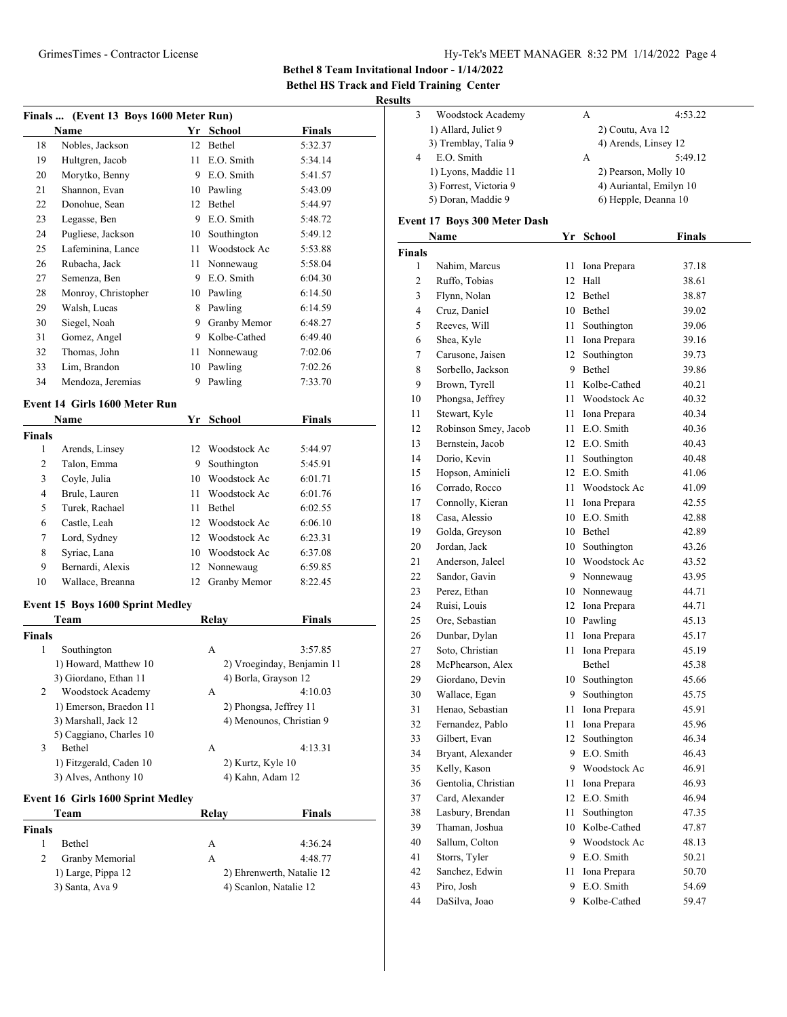**Bethel 8 Team Invitational Indoor - 1/14/2022**

**Bethel HS Track and Field Training Center**

# **Results**

|                    | Finals  (Event 13 Boys 1600 Meter Run)     |    |                             |                            |
|--------------------|--------------------------------------------|----|-----------------------------|----------------------------|
|                    | Name                                       |    | Yr School                   | <b>Finals</b>              |
| 18                 | Nobles, Jackson                            | 12 | Bethel                      | 5:32.37                    |
| 19                 | Hultgren, Jacob                            | 11 | E.O. Smith                  | 5:34.14                    |
| 20                 | Morytko, Benny                             | 9  | E.O. Smith                  | 5:41.57                    |
| 21                 | Shannon, Evan                              | 10 | Pawling                     | 5:43.09                    |
| 22                 | Donohue, Sean                              | 12 | Bethel                      | 5:44.97                    |
| 23                 | Legasse, Ben                               | 9  | E.O. Smith                  | 5:48.72                    |
| 24                 | Pugliese, Jackson                          | 10 | Southington                 | 5:49.12                    |
| 25                 | Lafeminina, Lance                          | 11 | Woodstock Ac                | 5:53.88                    |
| 26                 | Rubacha, Jack                              | 11 | Nonnewaug                   | 5:58.04                    |
| 27                 | Semenza, Ben                               | 9  | E.O. Smith                  | 6:04.30                    |
| 28                 | Monroy, Christopher                        |    | 10 Pawling                  | 6:14.50                    |
| 29                 | Walsh, Lucas                               | 8  | Pawling                     | 6:14.59                    |
| 30                 | Siegel, Noah                               | 9  | Granby Memor                | 6:48.27                    |
| 31                 | Gomez, Angel                               | 9  | Kolbe-Cathed                | 6:49.40                    |
| 32                 | Thomas, John                               | 11 | Nonnewaug                   | 7:02.06                    |
| 33                 | Lim, Brandon                               | 10 | Pawling                     | 7:02.26                    |
| 34                 | Mendoza, Jeremias                          | 9  | Pawling                     | 7:33.70                    |
|                    |                                            |    |                             |                            |
|                    | Event 14 Girls 1600 Meter Run              |    |                             |                            |
|                    | Name                                       |    | Yr School                   | Finals                     |
| <b>Finals</b><br>1 |                                            | 12 |                             |                            |
| 2                  | Arends, Linsey<br>Talon, Emma              | 9  | Woodstock Ac<br>Southington | 5:44.97<br>5:45.91         |
| 3                  | Coyle, Julia                               | 10 | Woodstock Ac                | 6:01.71                    |
| 4                  |                                            | 11 | Woodstock Ac                |                            |
|                    | Brule, Lauren<br>Turek, Rachael            | 11 | Bethel                      | 6:01.76                    |
| 5<br>6             | Castle, Leah                               | 12 | Woodstock Ac                | 6:02.55<br>6:06.10         |
| 7                  | Lord, Sydney                               | 12 | Woodstock Ac                | 6:23.31                    |
| 8                  | Syriac, Lana                               | 10 | Woodstock Ac                | 6:37.08                    |
| 9                  | Bernardi, Alexis                           | 12 | Nonnewaug                   | 6:59.85                    |
| 10                 | Wallace, Breanna                           | 12 | Granby Memor                | 8:22.45                    |
|                    |                                            |    |                             |                            |
|                    | <b>Event 15 Boys 1600 Sprint Medley</b>    |    |                             |                            |
|                    | Team                                       |    | Relay                       | Finals                     |
| <b>Finals</b>      |                                            |    |                             |                            |
| 1                  | Southington                                |    | A                           | 3:57.85                    |
|                    | 1) Howard, Matthew 10                      |    |                             | 2) Vroeginday, Benjamin 11 |
| 2                  | 3) Giordano, Ethan 11<br>Woodstock Academy |    | 4) Borla, Grayson 12<br>A   | 4:10.03                    |
|                    | 1) Emerson, Braedon 11                     |    | 2) Phongsa, Jeffrey 11      |                            |
|                    | 3) Marshall, Jack 12                       |    | 4) Menounos, Christian 9    |                            |
|                    | 5) Caggiano, Charles 10                    |    |                             |                            |
| 3                  | Bethel                                     |    | A                           | 4:13.31                    |
|                    | 1) Fitzgerald, Caden 10                    |    | 2) Kurtz, Kyle 10           |                            |
|                    | 3) Alves, Anthony 10                       |    | 4) Kahn, Adam 12            |                            |
|                    | Event 16 Girls 1600 Sprint Medley          |    |                             |                            |
|                    | Team                                       |    | Relay                       | Finals                     |
| Finals             |                                            |    |                             |                            |
| 1                  | Bethel                                     |    | A                           | 4:36.24                    |
| 2                  | Granby Memorial                            |    | A                           | 4:48.77                    |
|                    | 1) Large, Pippa 12                         |    | 2) Ehrenwerth, Natalie 12   |                            |
|                    | 3) Santa, Ava 9                            |    | 4) Scanlon, Natalie 12      |                            |
|                    |                                            |    |                             |                            |

| Woodstock Academy      | A | 4:53.22                 |
|------------------------|---|-------------------------|
| 1) Allard, Juliet 9    |   | 2) Coutu, Ava 12        |
| 3) Tremblay, Talia 9   |   | 4) Arends, Linsey 12    |
| E.O. Smith             | A | 5:49.12                 |
| 1) Lyons, Maddie 11    |   | 2) Pearson, Molly 10    |
| 3) Forrest, Victoria 9 |   | 4) Auriantal, Emilyn 10 |
| 5) Doran, Maddie 9     |   | 6) Hepple, Deanna 10    |
|                        |   |                         |

#### **Event 17 Boys 300 Meter Dash**

|               | Name                 | Yr   | <b>School</b>   | <b>Finals</b> |
|---------------|----------------------|------|-----------------|---------------|
| <b>Finals</b> |                      |      |                 |               |
| 1             | Nahim, Marcus        | 11   | Iona Prepara    | 37.18         |
| 2             | Ruffo, Tobias        |      | 12 Hall         | 38.61         |
| 3             | Flynn, Nolan         |      | 12 Bethel       | 38.87         |
| 4             | Cruz, Daniel         |      | 10 Bethel       | 39.02         |
| 5             | Reeves, Will         | 11   | Southington     | 39.06         |
| 6             | Shea, Kyle           | 11 - | Iona Prepara    | 39.16         |
| 7             | Carusone, Jaisen     | 12   | Southington     | 39.73         |
| 8             | Sorbello, Jackson    |      | 9 Bethel        | 39.86         |
| 9             | Brown, Tyrell        | 11.  | Kolbe-Cathed    | 40.21         |
| 10            | Phongsa, Jeffrey     | 11.  | Woodstock Ac    | 40.32         |
| 11            | Stewart, Kyle        | 11   | Iona Prepara    | 40.34         |
| 12            | Robinson Smey, Jacob | 11 - | E.O. Smith      | 40.36         |
| 13            | Bernstein, Jacob     |      | 12 E.O. Smith   | 40.43         |
| 14            | Dorio, Kevin         | 11   | Southington     | 40.48         |
| 15            | Hopson, Aminieli     |      | 12 E.O. Smith   | 41.06         |
| 16            | Corrado, Rocco       | 11.  | Woodstock Ac    | 41.09         |
| 17            | Connolly, Kieran     | 11   | Iona Prepara    | 42.55         |
| 18            | Casa, Alessio        |      | 10 E.O. Smith   | 42.88         |
| 19            | Golda, Greyson       |      | 10 Bethel       | 42.89         |
| 20            | Jordan, Jack         | 10   | Southington     | 43.26         |
| 21            | Anderson, Jaleel     |      | 10 Woodstock Ac | 43.52         |
| 22            | Sandor, Gavin        |      | 9 Nonnewaug     | 43.95         |
| 23            | Perez, Ethan         |      | 10 Nonnewaug    | 44.71         |
| 24            | Ruisi, Louis         |      | 12 Iona Prepara | 44.71         |
| 25            | Ore, Sebastian       |      | 10 Pawling      | 45.13         |
| 26            | Dunbar, Dylan        | 11   | Iona Prepara    | 45.17         |
| 27            | Soto, Christian      | 11   | Iona Prepara    | 45.19         |
| 28            | McPhearson, Alex     |      | Bethel          | 45.38         |
| 29            | Giordano, Devin      |      | 10 Southington  | 45.66         |
| 30            | Wallace, Egan        | 9    | Southington     | 45.75         |
| 31            | Henao, Sebastian     | 11   | Iona Prepara    | 45.91         |
| 32            | Fernandez, Pablo     | 11   | Iona Prepara    | 45.96         |
| 33            | Gilbert, Evan        | 12   | Southington     | 46.34         |
| 34            | Bryant, Alexander    | 9.   | E.O. Smith      | 46.43         |
| 35            | Kelly, Kason         |      | 9 Woodstock Ac  | 46.91         |
| 36            | Gentolia, Christian  | 11   | Iona Prepara    | 46.93         |
| 37            | Card, Alexander      | 12   | E.O. Smith      | 46.94         |
| 38            | Lasbury, Brendan     | 11   | Southington     | 47.35         |
| 39            | Thaman, Joshua       | 10   | Kolbe-Cathed    | 47.87         |
| 40            | Sallum, Colton       | 9    | Woodstock Ac    | 48.13         |
| 41            | Storrs, Tyler        | 9    | E.O. Smith      | 50.21         |
| 42            | Sanchez, Edwin       | 11   | Iona Prepara    | 50.70         |
| 43            | Piro, Josh           | 9    | E.O. Smith      | 54.69         |
| 44            | DaSilva, Joao        | 9    | Kolbe-Cathed    | 59.47         |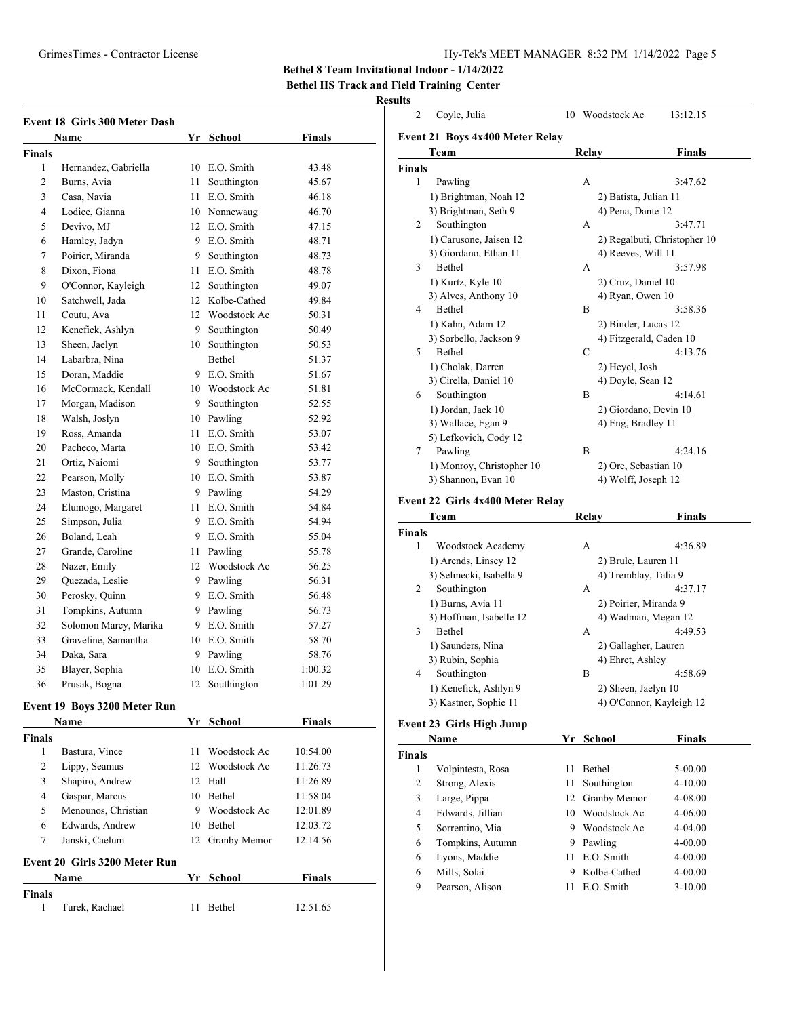### GrimesTimes - Contractor License Hy-Tek's MEET MANAGER 8:32 PM 1/14/2022 Page 5

**Bethel 8 Team Invitational Indoor - 1/14/2022**

**Bethel HS Track and Field Training Center**

#### **Results**

|                | Event 18 Girls 300 Meter Dash |    |                 |         |
|----------------|-------------------------------|----|-----------------|---------|
|                | <b>Name</b>                   |    | Yr School       | Finals  |
| <b>Finals</b>  |                               |    |                 |         |
| 1              | Hernandez, Gabriella          | 10 | E.O. Smith      | 43.48   |
| $\overline{c}$ | Burns. Avia                   | 11 | Southington     | 45.67   |
| 3              | Casa, Navia                   | 11 | E.O. Smith      | 46.18   |
| 4              | Lodice, Gianna                |    | 10 Nonnewaug    | 46.70   |
| 5              | Devivo, MJ                    |    | 12 E.O. Smith   | 47.15   |
| 6              | Hamley, Jadyn                 |    | 9 E.O. Smith    | 48.71   |
| 7              | Poirier, Miranda              | 9  | Southington     | 48.73   |
| 8              | Dixon, Fiona                  | 11 | E.O. Smith      | 48.78   |
| 9              | O'Connor, Kayleigh            | 12 | Southington     | 49.07   |
| 10             | Satchwell, Jada               |    | 12 Kolbe-Cathed | 49.84   |
| 11             | Coutu. Ava                    |    | 12 Woodstock Ac | 50.31   |
| 12             | Kenefick, Ashlyn              |    | 9 Southington   | 50.49   |
| 13             | Sheen, Jaelyn                 |    | 10 Southington  | 50.53   |
| 14             | Labarbra, Nina                |    | <b>Bethel</b>   | 51.37   |
| 15             | Doran, Maddie                 |    | 9 E.O. Smith    | 51.67   |
| 16             | McCormack, Kendall            |    | 10 Woodstock Ac | 51.81   |
| 17             | Morgan, Madison               |    | 9 Southington   | 52.55   |
| 18             | Walsh, Joslyn                 |    | 10 Pawling      | 52.92   |
| 19             | Ross, Amanda                  |    | 11 E.O. Smith   | 53.07   |
| 20             | Pacheco, Marta                |    | 10 E.O. Smith   | 53.42   |
| 21             | Ortiz, Naiomi                 |    | 9 Southington   | 53.77   |
| 22             | Pearson, Molly                |    | 10 E.O. Smith   | 53.87   |
| 23             | Maston, Cristina              |    | 9 Pawling       | 54.29   |
| 24             | Elumogo, Margaret             |    | 11 E.O. Smith   | 54.84   |
| 25             | Simpson, Julia                |    | 9 E.O. Smith    | 54.94   |
| 26             | Boland, Leah                  |    | 9 E.O. Smith    | 55.04   |
| 27             | Grande, Caroline              |    | 11 Pawling      | 55.78   |
| 28             | Nazer, Emily                  |    | 12 Woodstock Ac | 56.25   |
| 29             | Quezada, Leslie               |    | 9 Pawling       | 56.31   |
| 30             | Perosky, Quinn                |    | 9 E.O. Smith    | 56.48   |
| 31             | Tompkins, Autumn              |    | 9 Pawling       | 56.73   |
| 32             | Solomon Marcy, Marika         |    | 9 E.O. Smith    | 57.27   |
| 33             | Graveline, Samantha           |    | 10 E.O. Smith   | 58.70   |
| 34             | Daka, Sara                    |    | 9 Pawling       | 58.76   |
| 35             | Blayer, Sophia                |    | 10 E.O. Smith   | 1:00.32 |
| 36             | Prusak, Bogna                 | 12 | Southington     | 1:01.29 |
|                |                               |    |                 |         |

# **Event 19 Boys 3200 Meter Run**

|        | <b>Name</b>                   | Yr | School          | <b>Finals</b> |  |
|--------|-------------------------------|----|-----------------|---------------|--|
| Finals |                               |    |                 |               |  |
| 1      | Bastura, Vince                | 11 | Woodstock Ac    | 10:54.00      |  |
| 2      | Lippy, Seamus                 |    | 12 Woodstock Ac | 11:26.73      |  |
| 3      | Shapiro, Andrew               |    | 12 Hall         | 11:26.89      |  |
| 4      | Gaspar, Marcus                | 10 | <b>Bethel</b>   | 11:58.04      |  |
| 5      | Menounos, Christian           | 9  | Woodstock Ac    | 12:01.89      |  |
| 6      | Edwards, Andrew               | 10 | Bethel          | 12:03.72      |  |
| 7      | Janski, Caelum                | 12 | Granby Memor    | 12:14.56      |  |
|        | Event 20 Girls 3200 Meter Run |    |                 |               |  |
|        | <b>Name</b>                   | Yr | School          | <b>Finals</b> |  |
| Finals |                               |    |                 |               |  |
| 1      | Turek, Rachael                | 11 | <b>Bethel</b>   | 12:51.65      |  |

| $\overline{c}$ | Coyle, Julia                    | 10    | Woodstock Ac            | 13:12.15                     |
|----------------|---------------------------------|-------|-------------------------|------------------------------|
|                | Event 21 Boys 4x400 Meter Relay |       |                         |                              |
|                | Team                            | Relay |                         | <b>Finals</b>                |
| <b>Finals</b>  |                                 |       |                         |                              |
| 1              | Pawling                         | A     |                         | 3:47.62                      |
|                | 1) Brightman, Noah 12           |       | 2) Batista, Julian 11   |                              |
|                | 3) Brightman, Seth 9            |       | 4) Pena, Dante 12       |                              |
| 2              | Southington                     | A     |                         | 3:47.71                      |
|                | 1) Carusone, Jaisen 12          |       |                         | 2) Regalbuti, Christopher 10 |
|                | 3) Giordano, Ethan 11           |       | 4) Reeves, Will 11      |                              |
| 3              | Bethel                          | A     |                         | 3:57.98                      |
|                | 1) Kurtz, Kyle 10               |       | 2) Cruz, Daniel 10      |                              |
|                | 3) Alves, Anthony 10            |       | 4) Ryan, Owen 10        |                              |
| 4              | <b>Bethel</b>                   | B     |                         | 3:58.36                      |
|                | 1) Kahn, Adam 12                |       | 2) Binder, Lucas 12     |                              |
|                | 3) Sorbello, Jackson 9          |       | 4) Fitzgerald, Caden 10 |                              |
| 5              | <b>Bethel</b>                   | C     |                         | 4:13.76                      |
|                | 1) Cholak, Darren               |       | 2) Heyel, Josh          |                              |
|                | 3) Cirella, Daniel 10           |       | 4) Doyle, Sean 12       |                              |
| 6              | Southington                     | B     |                         | 4:14.61                      |
|                | 1) Jordan, Jack 10              |       | 2) Giordano, Devin 10   |                              |
|                | 3) Wallace, Egan 9              |       | 4) Eng, Bradley 11      |                              |
|                | 5) Lefkovich, Cody 12           |       |                         |                              |
| 7              | Pawling                         | B     |                         | 4:24.16                      |
|                | 1) Monroy, Christopher 10       |       | 2) Ore, Sebastian 10    |                              |
|                | 3) Shannon, Evan 10             |       | 4) Wolff, Joseph 12     |                              |
|                |                                 |       |                         |                              |

#### **Event 22 Girls 4x400 Meter Relay**

|               | Team                    | Relav            | <b>Finals</b>            |
|---------------|-------------------------|------------------|--------------------------|
| <b>Finals</b> |                         |                  |                          |
| 1             | Woodstock Academy       | A                | 4:36.89                  |
|               | 1) Arends, Linsey 12    |                  | 2) Brule, Lauren 11      |
|               | 3) Selmecki, Isabella 9 |                  | 4) Tremblay, Talia 9     |
| 2             | Southington             | А                | 4:37.17                  |
|               | 1) Burns, Avia 11       |                  | 2) Poirier, Miranda 9    |
|               | 3) Hoffman, Isabelle 12 |                  | 4) Wadman, Megan 12      |
| 3             | Bethel                  | А                | 4:49.53                  |
|               | 1) Saunders, Nina       |                  | 2) Gallagher, Lauren     |
|               | 3) Rubin, Sophia        | 4) Ehret, Ashley |                          |
| 4             | Southington             | B                | 4:58.69                  |
|               | 1) Kenefick, Ashlyn 9   |                  | 2) Sheen, Jaelyn 10      |
|               | 3) Kastner, Sophie 11   |                  | 4) O'Connor, Kayleigh 12 |
|               |                         |                  |                          |

#### **Event 23 Girls High Jump**

| Name          |                   |    | Yr School       | Finals      |  |
|---------------|-------------------|----|-----------------|-------------|--|
| <b>Finals</b> |                   |    |                 |             |  |
| 1             | Volpintesta, Rosa | 11 | <b>Bethel</b>   | 5-00.00     |  |
| 2             | Strong, Alexis    | 11 | Southington     | $4 - 10.00$ |  |
| 3             | Large, Pippa      |    | 12 Granby Memor | 4-08.00     |  |
| 4             | Edwards, Jillian  | 10 | Woodstock Ac    | $4 - 06.00$ |  |
| 5             | Sorrentino, Mia   | 9  | Woodstock Ac    | $4 - 04.00$ |  |
| 6             | Tompkins, Autumn  | 9  | Pawling         | $4 - 00.00$ |  |
| 6             | Lyons, Maddie     | 11 | E.O. Smith      | $4 - 00.00$ |  |
| 6             | Mills, Solai      | 9  | Kolbe-Cathed    | $4 - 00.00$ |  |
| 9             | Pearson, Alison   | 11 | E.O. Smith      | $3-10.00$   |  |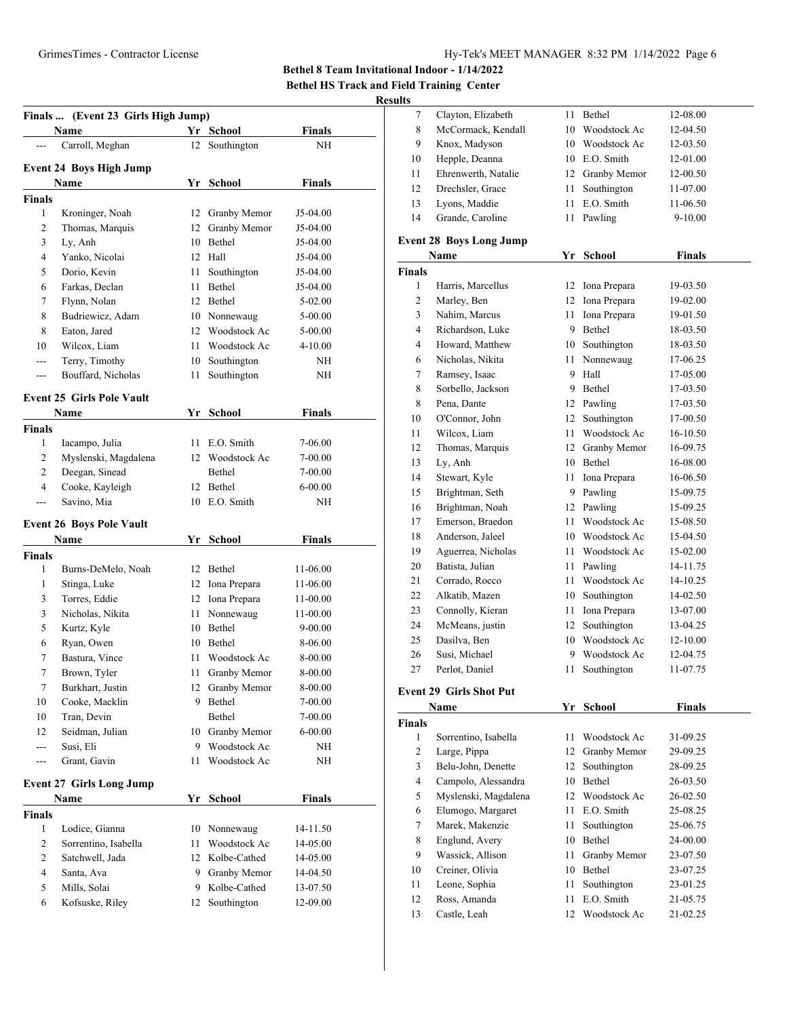# GrimesTimes - Contractor License Hy-Tek's MEET MANAGER 8:32 PM 1/14/2022 Page 6

**Bethel 8 Team Invitational Indoor - 1/14/2022**

**Bethel HS Track and Field Training Center**

#### **Results**

|                    | Name                             |      | Finals  (Event 23 Girls High Jump)<br>Yr School | <b>Finals</b> |
|--------------------|----------------------------------|------|-------------------------------------------------|---------------|
|                    | Carroll, Meghan                  | 12   | Southington                                     | NΗ            |
|                    | <b>Event 24 Boys High Jump</b>   |      |                                                 |               |
|                    | Name                             |      | Yr School                                       | <b>Finals</b> |
| <b>Finals</b>      |                                  |      |                                                 |               |
| 1                  | Kroninger, Noah                  | 12   | Granby Memor                                    | J5-04.00      |
| 2                  | Thomas, Marquis                  | 12   | Granby Memor                                    | J5-04.00      |
| 3                  | Ly, Anh                          |      | 10 Bethel                                       | J5-04.00      |
| 4                  | Yanko, Nicolai                   |      | 12 Hall                                         | J5-04.00      |
| 5                  | Dorio, Kevin                     | 11   | Southington                                     | J5-04.00      |
| 6                  | Farkas, Declan                   | 11   | Bethel                                          | J5-04.00      |
| 7                  | Flynn, Nolan                     |      | 12 Bethel                                       | 5-02.00       |
| 8                  | Budriewicz, Adam                 |      | 10 Nonnewaug                                    | 5-00.00       |
| 8                  | Eaton, Jared                     |      | 12 Woodstock Ac                                 | 5-00.00       |
| 10                 | Wilcox, Liam                     | 11   | Woodstock Ac                                    | 4-10.00       |
| ---                | Terry, Timothy                   |      | 10 Southington                                  | NH            |
| ---                | Bouffard, Nicholas               | 11   | Southington                                     | NH            |
|                    |                                  |      |                                                 |               |
|                    | <b>Event 25 Girls Pole Vault</b> |      |                                                 |               |
|                    | Name                             |      | Yr School                                       | <b>Finals</b> |
| <b>Finals</b>      |                                  |      |                                                 |               |
| 1                  | Iacampo, Julia                   | 11   | E.O. Smith                                      | 7-06.00       |
| 2                  | Myslenski, Magdalena             | 12   | Woodstock Ac                                    | 7-00.00       |
| 2                  | Deegan, Sinead                   |      | Bethel                                          | 7-00.00       |
| 4                  | Cooke, Kayleigh                  | 12   | Bethel                                          | 6-00.00       |
| $---$              | Savino, Mia                      |      | 10 E.O. Smith                                   | NΗ            |
|                    | <b>Event 26 Boys Pole Vault</b>  |      |                                                 |               |
|                    | Name                             | Yr   | School                                          | <b>Finals</b> |
| <b>Finals</b>      |                                  |      |                                                 |               |
| 1                  | Burns-DeMelo, Noah               |      | 12 Bethel                                       | 11-06.00      |
| 1                  | Stinga, Luke                     |      | 12 Iona Prepara                                 | 11-06.00      |
|                    |                                  |      |                                                 |               |
| 3                  | Torres, Eddie                    |      | 12 Iona Prepara                                 | 11-00.00      |
| 3                  | Nicholas, Nikita                 |      | 11 Nonnewaug                                    | 11-00.00      |
| 5                  | Kurtz, Kyle                      |      | 10 Bethel                                       | 9-00.00       |
| 6                  | Ryan, Owen                       |      | 10 Bethel                                       | 8-06.00       |
| 7                  | Bastura, Vince                   | 11   | Woodstock Ac                                    | 8-00.00       |
| 7                  | Brown, Tyler                     | 11 - | Granby Memor                                    | 8-00.00       |
| 7                  | Burkhart, Justin                 |      | 12 Granby Memor                                 | 8-00.00       |
| 10                 | Cooke, Macklin                   |      | 9 Bethel                                        | 7-00.00       |
| 10                 | Tran, Devin                      |      | Bethel                                          | 7-00.00       |
| 12                 | Seidman, Julian                  |      | 10 Granby Memor                                 | $6 - 00.00$   |
| ---                | Susi, Eli                        | 9    | Woodstock Ac                                    | NΗ            |
| ---                | Grant, Gavin                     | 11   | Woodstock Ac                                    | NΗ            |
|                    | <b>Event 27 Girls Long Jump</b>  |      |                                                 |               |
|                    | Name                             |      | Yr School                                       | <b>Finals</b> |
|                    |                                  |      |                                                 |               |
| 1                  | Lodice, Gianna                   |      | 10 Nonnewaug                                    | 14-11.50      |
| <b>Finals</b><br>2 | Sorrentino, Isabella             | 11   | Woodstock Ac                                    | 14-05.00      |
| 2                  | Satchwell, Jada                  |      | 12 Kolbe-Cathed                                 | 14-05.00      |
| 4                  | Santa, Ava                       | 9.   | Granby Memor                                    | 14-04.50      |
| 5                  | Mills, Solai                     |      | 9 Kolbe-Cathed                                  | 13-07.50      |

|    | Clayton, Elizabeth  | 11 | <b>Bethel</b>   | 12-08.00  |
|----|---------------------|----|-----------------|-----------|
| 8  | McCormack, Kendall  | 10 | Woodstock Ac    | 12-04.50  |
| 9  | Knox, Madyson       | 10 | Woodstock Ac    | 12-03.50  |
| 10 | Hepple, Deanna      | 10 | E.O. Smith      | 12-01.00  |
| 11 | Ehrenwerth, Natalie |    | 12 Granby Memor | 12-00.50  |
| 12 | Drechsler, Grace    | 11 | Southington     | 11-07.00  |
| 13 | Lyons, Maddie       | 11 | E.O. Smith      | 11-06.50  |
| 14 | Grande, Caroline    | 11 | Pawling         | $9-10.00$ |
|    |                     |    |                 |           |

## **Event 28 Boys Long Jump**

|                | Name                                                             | Yr | <b>School</b> | <b>Finals</b> |
|----------------|------------------------------------------------------------------|----|---------------|---------------|
| <b>Finals</b>  |                                                                  |    |               |               |
| $\mathbf{1}$   | Harris, Marcellus                                                | 12 | Iona Prepara  | 19-03.50      |
| $\overline{c}$ | Marley, Ben                                                      | 12 | Iona Prepara  | 19-02.00      |
| 3              | Nahim, Marcus                                                    | 11 | Iona Prepara  | 19-01.50      |
| $\overline{4}$ | Richardson, Luke                                                 | 9  | Bethel        | 18-03.50      |
| $\overline{4}$ | Howard, Matthew                                                  | 10 | Southington   | 18-03.50      |
| 6              | Nicholas, Nikita                                                 | 11 | Nonnewaug     | 17-06.25      |
| 7              | Ramsey, Isaac                                                    | 9  | Hall          | 17-05.00      |
| 8              | Sorbello, Jackson                                                | 9  | Bethel        | 17-03.50      |
| 8              | Pena, Dante                                                      | 12 | Pawling       | 17-03.50      |
| 10             | O'Connor, John                                                   | 12 | Southington   | 17-00.50      |
| 11             | Wilcox, Liam                                                     | 11 | Woodstock Ac  | 16-10.50      |
| 12             | Thomas, Marquis                                                  | 12 | Granby Memor  | 16-09.75      |
| 13             | Ly, Anh                                                          | 10 | <b>Bethel</b> | 16-08.00      |
| 14             | Stewart, Kyle                                                    | 11 | Iona Prepara  | 16-06.50      |
| 15             | Brightman, Seth                                                  | 9  | Pawling       | 15-09.75      |
| 16             | Brightman, Noah                                                  | 12 | Pawling       | 15-09.25      |
| 17             | Emerson, Braedon                                                 | 11 | Woodstock Ac  | 15-08.50      |
| 18             | Anderson, Jaleel                                                 | 10 | Woodstock Ac  | 15-04.50      |
| 19             | Aguerrea, Nicholas                                               | 11 | Woodstock Ac  | 15-02.00      |
| 20             | Batista, Julian                                                  | 11 | Pawling       | 14-11.75      |
| 21             | Corrado, Rocco                                                   | 11 | Woodstock Ac  | 14-10.25      |
| 22             | Alkatib, Mazen                                                   | 10 | Southington   | 14-02.50      |
| 23             | Connolly, Kieran                                                 | 11 | Iona Prepara  | 13-07.00      |
| 24             | McMeans, justin                                                  | 12 | Southington   | 13-04.25      |
| 25             | Dasilva, Ben                                                     | 10 | Woodstock Ac  | 12-10.00      |
| 26             | Susi, Michael                                                    | 9  | Woodstock Ac  | 12-04.75      |
| 27             | Perlot, Daniel                                                   | 11 | Southington   | 11-07.75      |
|                | $E_{\text{cont}}$ 20 $C_{\text{in}}$ Chat $\text{D}_{\text{in}}$ |    |               |               |

#### **Event 29 Girls Shot Put**

|               | Name                 | Yr | School          | <b>Finals</b> |  |
|---------------|----------------------|----|-----------------|---------------|--|
| <b>Finals</b> |                      |    |                 |               |  |
| 1             | Sorrentino, Isabella | 11 | Woodstock Ac    | 31-09.25      |  |
| 2             | Large, Pippa         |    | 12 Granby Memor | 29-09.25      |  |
| 3             | Belu-John, Denette   | 12 | Southington     | 28-09.25      |  |
| 4             | Campolo, Alessandra  | 10 | Bethel          | 26-03.50      |  |
| 5             | Myslenski, Magdalena | 12 | Woodstock Ac    | 26-02.50      |  |
| 6             | Elumogo, Margaret    | 11 | E.O. Smith      | 25-08.25      |  |
| 7             | Marek, Makenzie      | 11 | Southington     | 25-06.75      |  |
| 8             | Englund, Avery       | 10 | Bethel          | 24-00.00      |  |
| 9             | Wassick, Allison     | 11 | Granby Memor    | 23-07.50      |  |
| 10            | Creiner, Olivia      | 10 | <b>Bethel</b>   | 23-07.25      |  |
| 11            | Leone, Sophia        | 11 | Southington     | 23-01.25      |  |
| 12            | Ross, Amanda         | 11 | E.O. Smith      | 21-05.75      |  |
| 13            | Castle, Leah         | 12 | Woodstock Ac    | 21-02.25      |  |